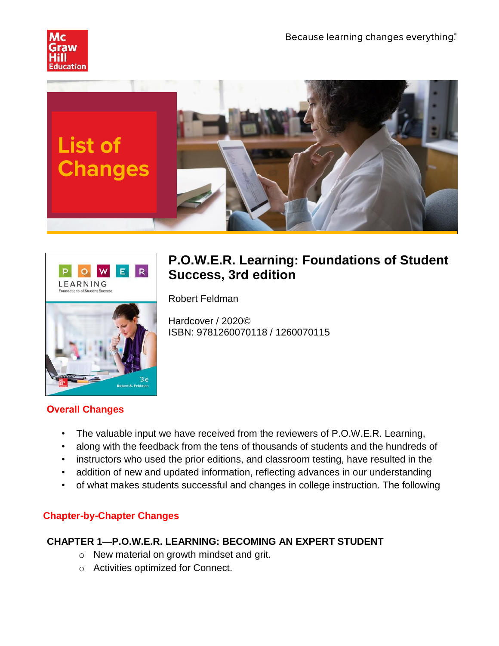





# **P.O.W.E.R. Learning: Foundations of Student Success, 3rd edition**

Robert Feldman

Hardcover / 2020© ISBN: 9781260070118 / 1260070115

# **Overall Changes**

- The valuable input we have received from the reviewers of P.O.W.E.R. Learning,
- along with the feedback from the tens of thousands of students and the hundreds of
- instructors who used the prior editions, and classroom testing, have resulted in the
- addition of new and updated information, reflecting advances in our understanding
- of what makes students successful and changes in college instruction. The following

# **Chapter-by-Chapter Changes**

# **CHAPTER 1—P.O.W.E.R. LEARNING: BECOMING AN EXPERT STUDENT**

- o New material on growth mindset and grit.
- o Activities optimized for Connect.